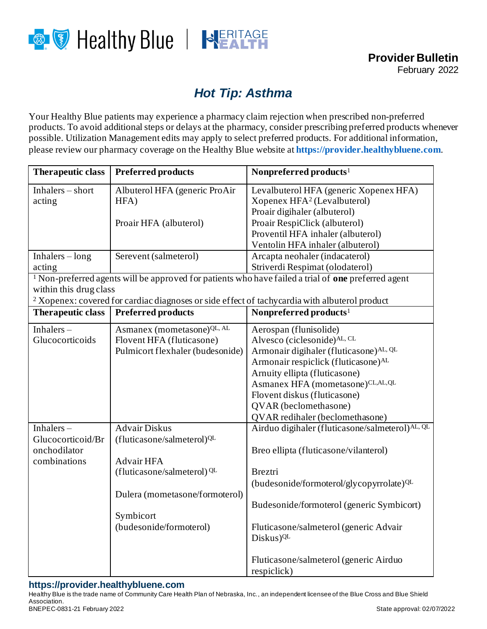

## *Hot Tip: Asthma*

Your Healthy Blue patients may experience a pharmacy claim rejection when prescribed non-preferred products. To avoid additional steps or delays at the pharmacy, consider prescribing preferred products whenever possible. Utilization Management edits may apply to select preferred products. For additional information, please review our pharmacy coverage on the Healthy Blue website at **[https://provider.healthybluene.com](https://provider.healthybluene.com/)**.

| Therapeutic class                                                                                                                               | <b>Preferred products</b>              | Nonpreferred products <sup>1</sup>                   |  |
|-------------------------------------------------------------------------------------------------------------------------------------------------|----------------------------------------|------------------------------------------------------|--|
| Inhalers $-$ short                                                                                                                              | Albuterol HFA (generic ProAir          | Levalbuterol HFA (generic Xopenex HFA)               |  |
| acting                                                                                                                                          | HFA)                                   | Xopenex HFA <sup>2</sup> (Levalbuterol)              |  |
|                                                                                                                                                 |                                        | Proair digihaler (albuterol)                         |  |
|                                                                                                                                                 | Proair HFA (albuterol)                 | Proair RespiClick (albuterol)                        |  |
|                                                                                                                                                 |                                        | Proventil HFA inhaler (albuterol)                    |  |
|                                                                                                                                                 |                                        | Ventolin HFA inhaler (albuterol)                     |  |
| $Inhalers - long$                                                                                                                               | Serevent (salmeterol)                  | Arcapta neohaler (indacaterol)                       |  |
| acting                                                                                                                                          |                                        | Striverdi Respimat (olodaterol)                      |  |
| <sup>1</sup> Non-preferred agents will be approved for patients who have failed a trial of <b>one</b> preferred agent<br>within this drug class |                                        |                                                      |  |
| <sup>2</sup> Xopenex: covered for cardiac diagnoses or side effect of tachycardia with albuterol product                                        |                                        |                                                      |  |
| <b>Therapeutic class</b>                                                                                                                        | <b>Preferred products</b>              | Nonpreferred products <sup>1</sup>                   |  |
| Inhalers $-$                                                                                                                                    | Asmanex (mometasone) QL, AL            | Aerospan (flunisolide)                               |  |
| Glucocorticoids                                                                                                                                 | Flovent HFA (fluticasone)              | Alvesco (ciclesonide)AL, CL                          |  |
|                                                                                                                                                 | Pulmicort flexhaler (budesonide)       | Armonair digihaler (fluticasone)AL, QL               |  |
|                                                                                                                                                 |                                        | Armonair respiclick (fluticasone) <sup>AL</sup>      |  |
|                                                                                                                                                 |                                        | Arnuity ellipta (fluticasone)                        |  |
|                                                                                                                                                 |                                        | Asmanex HFA (mometasone)CL,AL,QL                     |  |
|                                                                                                                                                 |                                        | Flovent diskus (fluticasone)                         |  |
|                                                                                                                                                 |                                        | QVAR (beclomethasone)                                |  |
|                                                                                                                                                 |                                        | QVAR redihaler (beclomethasone)                      |  |
| Inhalers-                                                                                                                                       | <b>Advair Diskus</b>                   | Airduo digihaler (fluticasone/salmeterol)AL, QL      |  |
| Glucocorticoid/Br                                                                                                                               | (fluticasone/salmeterol) <sup>QL</sup> |                                                      |  |
| onchodilator                                                                                                                                    |                                        | Breo ellipta (fluticasone/vilanterol)                |  |
| combinations                                                                                                                                    | Advair HFA                             |                                                      |  |
|                                                                                                                                                 | (fluticasone/salmeterol) QL            | <b>Breztri</b>                                       |  |
|                                                                                                                                                 |                                        | (budesonide/formoterol/glycopyrrolate) <sup>QL</sup> |  |
|                                                                                                                                                 | Dulera (mometasone/formoterol)         |                                                      |  |
|                                                                                                                                                 |                                        | Budesonide/formoterol (generic Symbicort)            |  |
|                                                                                                                                                 | Symbicort                              |                                                      |  |
|                                                                                                                                                 | (budesonide/formoterol)                | Fluticasone/salmeterol (generic Advair               |  |
|                                                                                                                                                 |                                        | Diskus) <sup>QL</sup>                                |  |
|                                                                                                                                                 |                                        | Fluticasone/salmeterol (generic Airduo               |  |
|                                                                                                                                                 |                                        | respiclick)                                          |  |
|                                                                                                                                                 |                                        |                                                      |  |

## **https://provider.healthybluene.com**

Healthy Blue is the trade name of Community Care Health Plan of Nebraska, Inc., an independent licensee of the Blue Cross and Blue Shield Association. BNEPEC-0831-21 February 2022 79:30 12:30 12:30 12:30 12:30 12:30 12:30 12:30 12:30 12:30 12:30 12:30 12:30 12:30 12:30 12:30 12:30 12:30 12:30 12:30 12:30 12:30 12:30 12:30 12:30 12:30 12:30 12:30 12:30 12:30 12:30 12:30 1